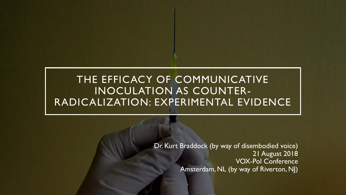### THE EFFICACY OF COMMUNICATIVE INOCULATION AS COUNTER-RADICALIZATION: EXPERIMENTAL EVIDENCE

Dr. Kurt Braddock (by way of disembodied voice) 21 August 2018 VOX-Pol Conference Amsterdam, NL (by way of Riverton, NJ)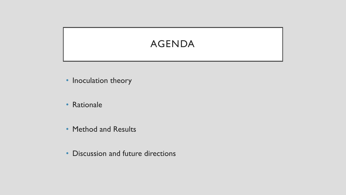# AGENDA

- Inoculation theory
- Rationale
- Method and Results
- Discussion and future directions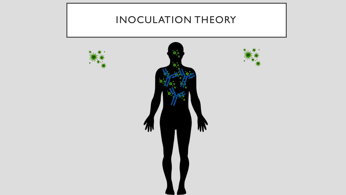# INOCULATION THEORY

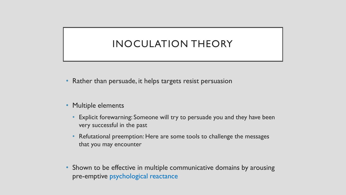### INOCULATION THEORY

- Rather than persuade, it helps targets resist persuasion
- Multiple elements
	- Explicit forewarning: Someone will try to persuade you and they have been very successful in the past
	- Refutational preemption: Here are some tools to challenge the messages that you may encounter
- Shown to be effective in multiple communicative domains by arousing pre-emptive psychological reactance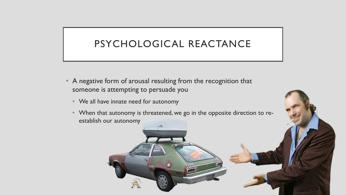### PSYCHOLOGICAL REACTANCE

- A negative form of arousal resulting from the recognition that someone is attempting to persuade you
	- We all have innate need for autonomy
	- When that autonomy is threatened, we go in the opposite direction to reestablish our autonomy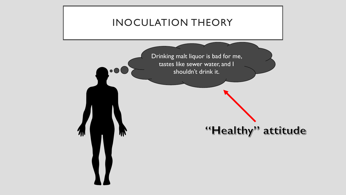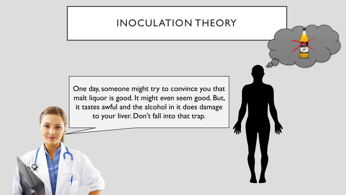### INOCULATION THEORY

One day, someone might try to convince you that malt liquor is good. It might even seem good. But, it tastes awful and the alcohol in it does damage to your liver. Don't fall into that trap.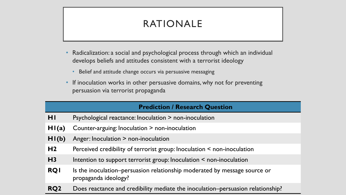# RATIONALE

- Radicalization: a social and psychological process through which an individual develops beliefs and attitudes consistent with a terrorist ideology
	- Belief and attitude change occurs via persuasive messaging
- If inoculation works in other persuasive domains, why not for preventing persuasion via terrorist propaganda

### **Prediction / Research Question**

- **H1** Psychological reactance: Inoculation > non-inoculation
- **H1(a)** Counter-arguing: Inoculation > non-inoculation
- **H1(b)** Anger: Inoculation > non-inoculation
- **H2** Perceived credibility of terrorist group: Inoculation < non-inoculation
- H3 Intention to support terrorist group: Inoculation < non-inoculation
- **RQ1** Is the inoculation–persuasion relationship moderated by message source or propaganda ideology?
- **RQ2** Does reactance and credibility mediate the inoculation–persuasion relationship?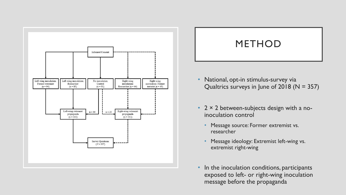

### METHOD

- National, opt-in stimulus-survey via Qualtrics surveys in June of 2018 ( $N = 357$ )
- $2 \times 2$  between-subjects design with a noinoculation control
	- Message source: Former extremist vs. researcher
	- Message ideology: Extremist left-wing vs. extremist right-wing
- In the inoculation conditions, participants exposed to left- or right-wing inoculation message before the propaganda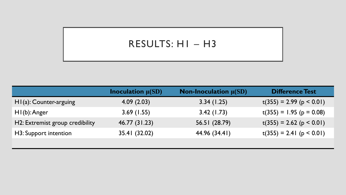### RESULTS: H1 – H3

|                                 | <b>Inoculation</b> $\mu(SD)$ | <b>Non-Inoculation</b> $\mu(SD)$ | <b>Difference Test</b>     |
|---------------------------------|------------------------------|----------------------------------|----------------------------|
| $HI(a)$ : Counter-arguing       | 4.09(2.03)                   | 3.34(1.25)                       | $t(355) = 2.99$ (p < 0.01) |
| $H1(b)$ : Anger                 | 3.69(1.55)                   | 3.42(1.73)                       | $t(355) = 1.95$ (p = 0.08) |
| H2: Extremist group credibility | 46.77 (31.23)                | 56.51 (28.79)                    | $t(355) = 2.62$ (p < 0.01) |
| H3: Support intention           | 35.41 (32.02)                | 44.96 (34.41)                    | $t(355) = 2.41$ (p < 0.01) |
|                                 |                              |                                  |                            |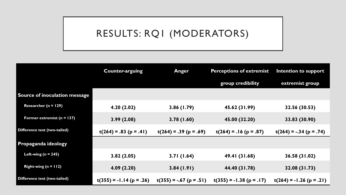### RESULTS: RQ1 (MODERATORS)

|                               | <b>Counter-arguing</b>     | <b>Anger</b>              | <b>Perceptions of extremist</b> | Intention to support       |
|-------------------------------|----------------------------|---------------------------|---------------------------------|----------------------------|
|                               |                            |                           | group credibility               | extremist group            |
| Source of inoculation message |                            |                           |                                 |                            |
| Researcher ( $n = 129$ )      | 4.20(2.02)                 | 3.86(1.79)                | 45.62 (31.99)                   | 32.56 (30.53)              |
| Former extremist $(n = 137)$  | 3.99(2.08)                 | 3.78(1.60)                | 45.00 (32.20)                   | 33.83 (30.90)              |
| Difference test (two-tailed)  | $t(264) = .83$ (p = .41)   | $t(264) = .39$ (p = .69)  | $t(264) = .16$ (p = .87)        | $t(264) = -.34 (p = .74)$  |
| Propaganda ideology           |                            |                           |                                 |                            |
| Left-wing $(n = 245)$         | 3.82(2.05)                 | 3.71(1.64)                | 49.41 (31.68)                   | 36.58 (31.02)              |
| Right-wing $(n = 112)$        | 4.09(2.20)                 | 3.84(1.91)                | 44.40 (31.78)                   | 32.08 (31.73)              |
| Difference test (two-tailed)  | $t(355) = -1.14 (p = .26)$ | $t(355) = -.67$ (p = .51) | $t(355) = -1.38$ (p = .17)      | $t(264) = -1.26$ (p = .21) |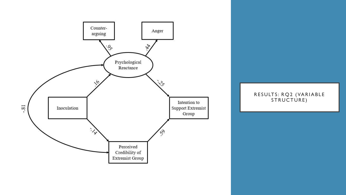

#### RESULTS: RQ2 (VARIABLE STRUCTURE)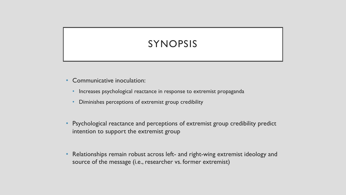# SYNOPSIS

- Communicative inoculation:
	- Increases psychological reactance in response to extremist propaganda
	- Diminishes perceptions of extremist group credibility
- Psychological reactance and perceptions of extremist group credibility predict intention to support the extremist group
- Relationships remain robust across left- and right-wing extremist ideology and source of the message (i.e., researcher vs. former extremist)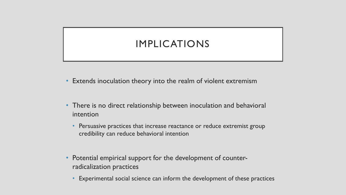## IMPLICATIONS

- Extends inoculation theory into the realm of violent extremism
- There is no direct relationship between inoculation and behavioral intention
	- Persuasive practices that increase reactance or reduce extremist group credibility can reduce behavioral intention
- Potential empirical support for the development of counterradicalization practices
	- Experimental social science can inform the development of these practices